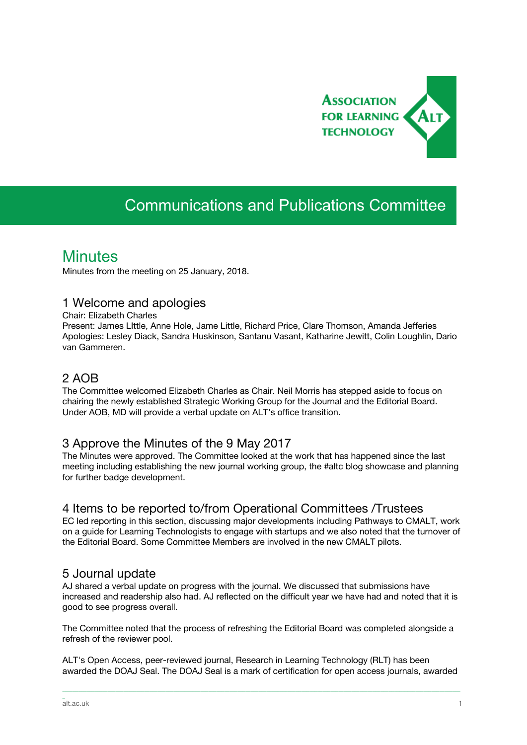

# Communications and Publications Committee

# **Minutes**

Minutes from the meeting on 25 January, 2018.

#### 1 Welcome and apologies

Chair: Elizabeth Charles

Present: James LIttle, Anne Hole, Jame Little, Richard Price, Clare Thomson, Amanda Jefferies Apologies: Lesley Diack, Sandra Huskinson, Santanu Vasant, Katharine Jewitt, Colin Loughlin, Dario van Gammeren.

### 2 AOB

The Committee welcomed Elizabeth Charles as Chair. Neil Morris has stepped aside to focus on chairing the newly established Strategic Working Group for the Journal and the Editorial Board. Under AOB, MD will provide a verbal update on ALT's office transition.

#### 3 Approve the Minutes of the 9 May 2017

The Minutes were approved. The Committee looked at the work that has happened since the last meeting including establishing the new journal working group, the #altc blog showcase and planning for further badge development.

## 4 Items to be reported to/from Operational Committees /Trustees

EC led reporting in this section, discussing major developments including Pathways to CMALT, work on a guide for Learning Technologists to engage with startups and we also noted that the turnover of the Editorial Board. Some Committee Members are involved in the new CMALT pilots.

#### 5 Journal update

AJ shared a verbal update on progress with the journal. We discussed that submissions have increased and readership also had. AJ reflected on the difficult year we have had and noted that it is good to see progress overall.

The Committee noted that the process of refreshing the Editorial Board was completed alongside a refresh of the reviewer pool.

ALT's Open Access, peer-reviewed journal, Research in Learning Technology (RLT) has been awarded the DOAJ Seal. The DOAJ Seal is a mark of certification for open access journals, awarded

\_\_\_\_\_\_\_\_\_\_\_\_\_\_\_\_\_\_\_\_\_\_\_\_\_\_\_\_\_\_\_\_\_\_\_\_\_\_\_\_\_\_\_\_\_\_\_\_\_\_\_\_\_\_\_\_\_\_\_\_\_\_\_\_\_\_\_\_\_\_\_\_\_\_\_\_\_\_\_\_\_\_\_\_\_\_\_\_\_\_\_\_\_\_\_\_\_\_\_\_\_\_\_\_\_\_\_\_\_\_\_\_\_\_\_\_\_\_\_\_\_\_\_\_\_\_\_\_\_\_\_\_\_\_\_\_\_\_\_\_\_\_\_\_\_\_\_\_\_\_

\_